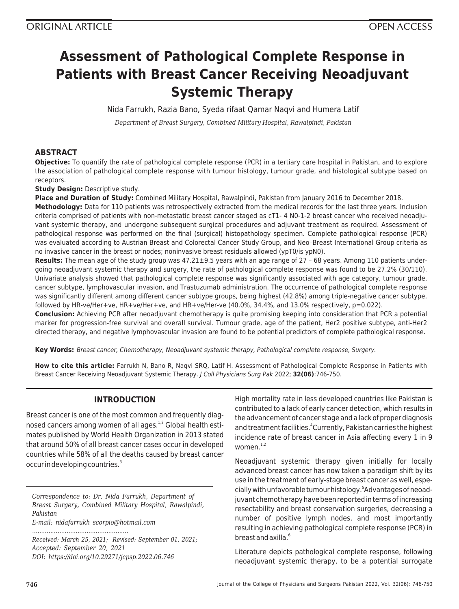# **Assessment of Pathological Complete Response in Patients with Breast Cancer Receiving Neoadjuvant Systemic Therapy**

Nida Farrukh, Razia Bano, Syeda rifaat Qamar Naqvi and Humera Latif

*Department of Breast Surgery, Combined Military Hospital, Rawalpindi, Pakistan*

# **ABSTRACT**

**Objective:** To quantify the rate of pathological complete response (PCR) in a tertiary care hospital in Pakistan, and to explore the association of pathological complete response with tumour histology, tumour grade, and histological subtype based on receptors.

**Study Design: Descriptive study.** 

**Place and Duration of Study:** Combined Military Hospital, Rawalpindi, Pakistan from January 2016 to December 2018.

**Methodology:** Data for 110 patients was retrospectively extracted from the medical records for the last three years. Inclusion criteria comprised of patients with non-metastatic breast cancer staged as cT1- 4 N0-1-2 breast cancer who received neoadjuvant systemic therapy, and undergone subsequent surgical procedures and adjuvant treatment as required. Assessment of pathological response was performed on the final (surgical) histopathology specimen. Complete pathological response (PCR) was evaluated according to Austrian Breast and Colorectal Cancer Study Group, and Neo–Breast International Group criteria as no invasive cancer in the breast or nodes; noninvasive breast residuals allowed (ypT0/is ypN0).

**Results:** The mean age of the study group was 47.21±9.5 years with an age range of 27 – 68 years. Among 110 patients undergoing neoadjuvant systemic therapy and surgery, the rate of pathological complete response was found to be 27.2% (30/110). Univariate analysis showed that pathological complete response was significantly associated with age category, tumour grade, cancer subtype, lymphovascular invasion, and Trastuzumab administration. The occurrence of pathological complete response was significantly different among different cancer subtype groups, being highest (42.8%) among triple-negative cancer subtype, followed by HR-ve/Her+ve, HR+ve/Her+ve, and HR+ve/Her-ve (40.0%, 34.4%, and 13.0% respectively, p=0.022).

**Conclusion:** Achieving PCR after neoadjuvant chemotherapy is quite promising keeping into consideration that PCR a potential marker for progression-free survival and overall survival. Tumour grade, age of the patient, Her2 positive subtype, anti-Her2 directed therapy, and negative lymphovascular invasion are found to be potential predictors of complete pathological response.

**Key Words:** Breast cancer, Chemotherapy, Neoadjuvant systemic therapy, Pathological complete response, Surgery.

**How to cite this article:** Farrukh N, Bano R, Naqvi SRQ, Latif H. Assessment of Pathological Complete Response in Patients with Breast Cancer Receiving Neoadjuvant Systemic Therapy. J Coll Physicians Surg Pak 2022; **32(06)**:746-750.

## **INTRODUCTION**

Breast cancer is one of the most common and frequently diagnosed cancers among women of all ages.<sup>1,2</sup> Global health estimates published by World Health Organization in 2013 stated that around 50% of all breast cancer cases occur in developed countries while 58% of all the deaths caused by breast cancer occur in developing countries.<sup>3</sup>

*Correspondence to: Dr. Nida Farrukh, Department of Breast Surgery, Combined Military Hospital, Rawalpindi, Pakistan E-mail: nidafarrukh\_scorpio@hotmail.com*

*..................................................... Received: March 25, 2021; Revised: September 01, 2021; Accepted: September 20, 2021 DOI: https://doi.org/10.29271/jcpsp.2022.06.746*

High mortality rate in less developed countries like Pakistan is contributed to a lack of early cancer detection, which results in the advancement of cancer stage and a lack of proper diagnosis and treatment facilities.<sup>4</sup>Currently, Pakistan carries the highest incidence rate of breast cancer in Asia affecting every 1 in 9 women. $1,2$ 

Neoadjuvant systemic therapy given initially for locally advanced breast cancer has now taken a paradigm shift by its use in the treatment of early-stage breast cancer as well, especially with unfavorable tumour histology.<sup>5</sup>Advantages of neoadjuvant chemotherapy have been reported in terms of increasing resectability and breast conservation surgeries, decreasing a number of positive lymph nodes, and most importantly resulting in achieving pathological complete response (PCR) in breast and axilla.<sup>6</sup>

Literature depicts pathological complete response, following neoadjuvant systemic therapy, to be a potential surrogate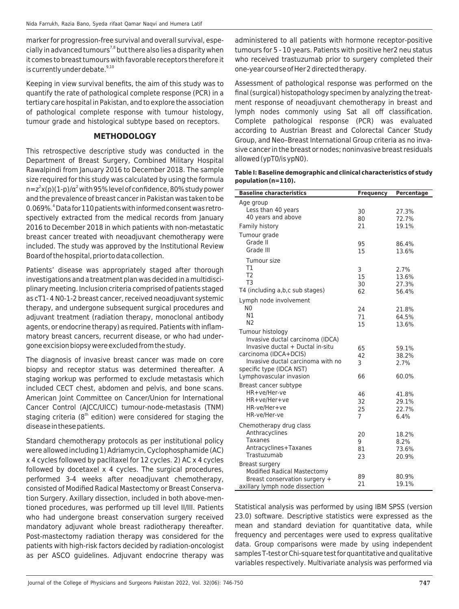marker for progression-free survival and overall survival, especially in advanced tumours<sup>7,8</sup> but there also lies a disparity when it comes to breast tumours with favorable receptors therefore it is currently under debate.<sup>9,10</sup>

Keeping in view survival benefits, the aim of this study was to quantify the rate of pathological complete response (PCR) in a tertiary care hospital in Pakistan, and to explore the association of pathological complete response with tumour histology, tumour grade and histological subtype based on receptors.

## **METHODOLOGY**

This retrospective descriptive study was conducted in the Department of Breast Surgery, Combined Military Hospital Rawalpindi from January 2016 to December 2018. The sample size required for this study was calculated by using the formula n=z<sup>2</sup>x(p)(1-p)/α<sup>2</sup> with 95% level of confidence, 80% study power and the prevalence of breast cancer in Pakistan was taken to be 0.069%.<sup>4</sup> Data for 110 patients with informed consent was retrospectively extracted from the medical records from January 2016 to December 2018 in which patients with non-metastatic breast cancer treated with neoadjuvant chemotherapy were included. The study was approved by the Institutional Review Board of the hospital, prior to data collection.

Patients' disease was appropriately staged after thorough investigations and a treatment plan was decided in a multidisciplinary meeting. Inclusion criteria comprised of patients staged as cT1- 4 N0-1-2 breast cancer, received neoadjuvant systemic therapy, and undergone subsequent surgical procedures and adjuvant treatment (radiation therapy, monoclonal antibody agents, or endocrine therapy) as required. Patients with inflammatory breast cancers, recurrent disease, or who had undergone excision biopsy were excluded from the study.

The diagnosis of invasive breast cancer was made on core biopsy and receptor status was determined thereafter. A staging workup was performed to exclude metastasis which included CECT chest, abdomen and pelvis, and bone scans. American Joint Committee on Cancer/Union for International Cancer Control (AJCC/UICC) tumour-node-metastasis (TNM) staging criteria ( $8<sup>th</sup>$  edition) were considered for staging the disease in these patients.

Standard chemotherapy protocols as per institutional policy were allowed including 1) Adriamycin, Cyclophosphamide (AC) x 4 cycles followed by paclitaxel for 12 cycles. 2) AC x 4 cycles followed by docetaxel x 4 cycles. The surgical procedures, performed 3-4 weeks after neoadjuvant chemotherapy, consisted of Modified Radical Mastectomy or Breast Conservation Surgery. Axillary dissection, included in both above-mentioned procedures, was performed up till level II/III. Patients who had undergone breast conservation surgery received mandatory adjuvant whole breast radiotherapy thereafter. Post-mastectomy radiation therapy was considered for the patients with high-risk factors decided by radiation-oncologist as per ASCO guidelines. Adjuvant endocrine therapy was

administered to all patients with hormone receptor-positive tumours for 5 - 10 years. Patients with positive her2 neu status who received trastuzumab prior to surgery completed their one-year course of Her 2 directed therapy.

Assessment of pathological response was performed on the final (surgical) histopathology specimen by analyzing the treatment response of neoadjuvant chemotherapy in breast and lymph nodes commonly using Sat all off classification. Complete pathological response (PCR) was evaluated according to Austrian Breast and Colorectal Cancer Study Group, and Neo–Breast International Group criteria as no invasive cancer in the breast or nodes; noninvasive breast residuals allowed (ypT0/is ypN0).

## **Table I: Baseline demographic and clinical characteristics of study population (n=110).**

| <b>Baseline characteristics</b>           | <b>Frequency</b> | Percentage    |
|-------------------------------------------|------------------|---------------|
| Age group                                 |                  |               |
| Less than 40 years                        | 30               | 27.3%         |
| 40 years and above                        | 80               | 72.7%         |
| Family history                            | 21               | 19.1%         |
| Tumour grade                              |                  |               |
| Grade II                                  | 95               | 86.4%         |
| Grade III                                 | 15               | 13.6%         |
| Tumour size                               |                  |               |
| T1                                        | 3                | 2.7%          |
| T <sub>2</sub>                            | 15               | 13.6%         |
| T <sub>3</sub>                            | 30               | 27.3%         |
| T4 (including a,b,c sub stages)           | 62               | 56.4%         |
| Lymph node involvement                    |                  |               |
| N0                                        | 24               | 21.8%         |
| Ν1<br>N <sub>2</sub>                      | 71               | 64.5%         |
| Tumour histology                          | 15               | 13.6%         |
| Invasive ductal carcinoma (IDCA)          |                  |               |
| Invasive ductal + Ductal in-situ          | 65               | 59.1%         |
| carcinoma (IDCA+DCIS)                     | 42               | 38.2%         |
| Invasive ductal carcinoma with no         | 3                | 2.7%          |
| specific type (IDCA NST)                  |                  |               |
| Lymphovascular invasion                   | 66               | 60.0%         |
| Breast cancer subtype                     |                  |               |
| HR+ve/Her-ve                              | 46               | 41.8%         |
| HR+ve/Her+ve<br>HR-ve/Her+ve              | 32               | 29.1%         |
| HR-ve/Her-ve                              | 25               | 22.7%         |
|                                           | 7                | 6.4%          |
| Chemotherapy drug class<br>Anthracyclines |                  |               |
| <b>Taxanes</b>                            | 20               | 18.2%<br>8.2% |
| Antracyclines+Taxanes                     | 9<br>81          | 73.6%         |
| Trastuzumab                               | 23               | 20.9%         |
| Breast surgery                            |                  |               |
| <b>Modified Radical Mastectomy</b>        |                  |               |
| Breast conservation surgery +             | 89               | 80.9%         |
| axillary lymph node dissection            | 21               | 19.1%         |

Statistical analysis was performed by using IBM SPSS (version 23.0) software. Descriptive statistics were expressed as the mean and standard deviation for quantitative data, while frequency and percentages were used to express qualitative data. Group comparisons were made by using independent samples T-test or Chi-square test for quantitative and qualitative variables respectively. Multivariate analysis was performed via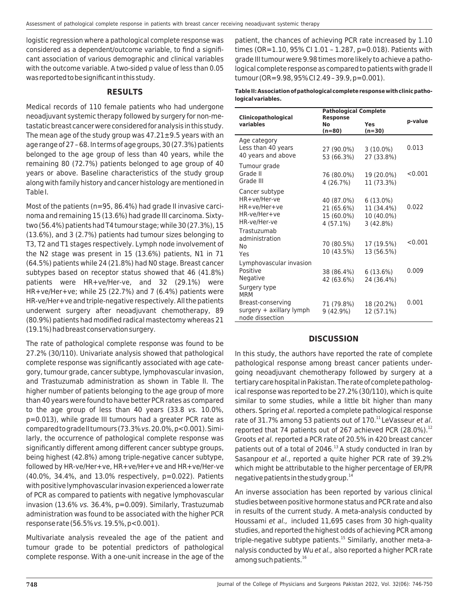logistic regression where a pathological complete response was considered as a dependent/outcome variable, to find a significant association of various demographic and clinical variables with the outcome variable. A two-sided p value of less than 0.05 was reported to be significant in this study.

## **RESULTS**

Medical records of 110 female patients who had undergone neoadjuvant systemic therapy followed by surgery for non-metastatic breast cancer were considered for analysis in this study. The mean age of the study group was  $47.21 \pm 9.5$  years with an age range of 27 – 68. In terms of age groups, 30 (27.3%) patients belonged to the age group of less than 40 years, while the remaining 80 (72.7%) patients belonged to age group of 40 years or above. Baseline characteristics of the study group along with family history and cancer histology are mentioned in Table I.

Most of the patients (n=95, 86.4%) had grade II invasive carcinoma and remaining 15 (13.6%) had grade III carcinoma. Sixtytwo (56.4%) patients had T4 tumour stage; while 30 (27.3%), 15 (13.6%), and 3 (2.7%) patients had tumour sizes belonging to T3, T2 and T1 stages respectively. Lymph node involvement of the N2 stage was present in 15 (13.6%) patients, N1 in 71 (64.5%) patients while 24 (21.8%) had N0 stage. Breast cancer subtypes based on receptor status showed that 46 (41.8%) patients were HR+ve/Her-ve, and 32 (29.1%) were HR+ve/Her+ve; while 25 (22.7%) and 7 (6.4%) patients were HR-ve/Her+ve and triple-negative respectively. All the patients underwent surgery after neoadjuvant chemotherapy, 89 (80.9%) patients had modified radical mastectomy whereas 21 (19.1%) had breast conservation surgery.

The rate of pathological complete response was found to be 27.2% (30/110). Univariate analysis showed that pathological complete response was significantly associated with age category, tumour grade, cancer subtype, lymphovascular invasion, and Trastuzumab administration as shown in Table II. The higher number of patients belonging to the age group of more than 40 years were found to have better PCR rates as compared to the age group of less than 40 years (33.8 vs. 10.0%, p=0.013), while grade III tumours had a greater PCR rate as compared to grade II tumours (73.3% vs. 20.0%, p<0.001). Similarly, the occurrence of pathological complete response was significantly different among different cancer subtype groups, being highest (42.8%) among triple-negative cancer subtype, followed by HR-ve/Her+ve, HR+ve/Her+ve and HR+ve/Her-ve (40.0%, 34.4%, and 13.0% respectively, p=0.022). Patients with positive lymphovascular invasion experienced a lower rate of PCR as compared to patients with negative lymphovascular invasion (13.6% vs. 36.4%, p=0.009). Similarly, Trastuzumab administration was found to be associated with the higher PCR response rate (56.5% vs. 19.5%, p<0.001).

Multivariate analysis revealed the age of the patient and tumour grade to be potential predictors of pathological complete response. With a one-unit increase in the age of the patient, the chances of achieving PCR rate increased by 1.10 times (OR=1.10, 95% CI 1.01 – 1.287, p=0.018). Patients with grade III tumour were 9.98 times more likely to achieve a pathological complete response as compared to patients with grade II tumour (OR=9.98, 95% CI 2.49 – 39.9, p=0.001).

#### **Table II: Association of pathological complete response with clinic pathological variables.**

| <b>Pathological Complete</b><br>Clinicopathological<br><b>Response</b> |             |             |         |  |
|------------------------------------------------------------------------|-------------|-------------|---------|--|
| variables                                                              | No          | Yes         | p-value |  |
|                                                                        | (n=80)      | $(n=30)$    |         |  |
| Age category                                                           |             |             |         |  |
| Less than 40 years                                                     | 27 (90.0%)  | $3(10.0\%)$ | 0.013   |  |
| 40 years and above                                                     | 53 (66.3%)  | 27 (33.8%)  |         |  |
| Tumour grade                                                           |             |             |         |  |
| Grade II                                                               | 76 (80.0%)  | 19 (20.0%)  | < 0.001 |  |
| Grade III                                                              | 4 (26.7%)   | 11 (73.3%)  |         |  |
| Cancer subtype                                                         |             |             |         |  |
| HR+ve/Her-ve                                                           | 40 (87.0%)  | $6(13.0\%)$ |         |  |
| HR+ve/Her+ve                                                           | 21 (65.6%)  | 11 (34.4%)  | 0.022   |  |
| HR-ve/Her+ve                                                           | 15 (60.0%)  | 10 (40.0%)  |         |  |
| HR-ve/Her-ve                                                           | $4(57.1\%)$ | 3(42.8%)    |         |  |
| Trastuzumab                                                            |             |             |         |  |
| administration                                                         | 70 (80.5%)  | 17 (19.5%)  | < 0.001 |  |
| No                                                                     | 10 (43.5%)  | 13 (56.5%)  |         |  |
| Yes                                                                    |             |             |         |  |
| Lymphovascular invasion                                                |             |             |         |  |
| Positive                                                               | 38 (86.4%)  | 6(13.6%)    | 0.009   |  |
| Negative                                                               | 42 (63.6%)  | 24 (36.4%)  |         |  |
| Surgery type<br><b>MRM</b>                                             |             |             |         |  |
|                                                                        |             |             | 0.001   |  |
| Breast-conserving<br>surgery + axillary lymph                          | 71 (79.8%)  | 18 (20.2%)  |         |  |
| node dissection                                                        | $9(42.9\%)$ | 12 (57.1%)  |         |  |

## **DISCUSSION**

In this study, the authors have reported the rate of complete pathological response among breast cancer patients undergoing neoadjuvant chemotherapy followed by surgery at a tertiary care hospital in Pakistan. The rate of complete pathological response was reported to be 27.2% (30/110), which is quite similar to some studies, while a little bit higher than many others. Spring et al. reported a complete pathological response rate of 31.7% among 53 patients out of 170. $^{11}$  LeVasseur et al. reported that 74 patients out of 267 achieved PCR (28.0%).<sup>12</sup> Groots et al. reported a PCR rate of 20.5% in 420 breast cancer patients out of a total of 2046. $13$  A study conducted in Iran by Sasanpour et al., reported a quite higher PCR rate of 39.2% which might be attributable to the higher percentage of ER/PR negative patients in the study group. $^{14}$ 

An inverse association has been reported by various clinical studies between positive hormone status and PCR rate and also in results of the current study. A meta-analysis conducted by Houssami et al., included 11,695 cases from 30 high-quality studies, and reported the highest odds of achieving PCR among triple-negative subtype patients.<sup>15</sup> Similarly, another meta-analysis conducted by Wu et al., also reported a higher PCR rate among such patients.<sup>16</sup>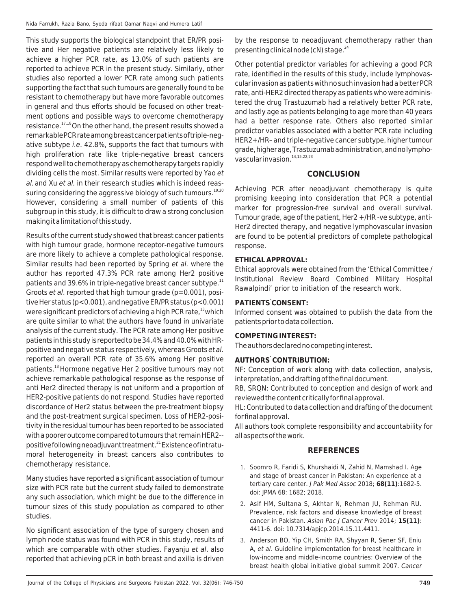This study supports the biological standpoint that ER/PR positive and Her negative patients are relatively less likely to achieve a higher PCR rate, as 13.0% of such patients are reported to achieve PCR in the present study. Similarly, other studies also reported a lower PCR rate among such patients supporting the fact that such tumours are generally found to be resistant to chemotherapy but have more favorable outcomes in general and thus efforts should be focused on other treatment options and possible ways to overcome chemotherapy resistance.17,18 On the other hand, the present results showed a remarkable PCR rate among breast cancer patients of triple-negative subtype *i.e.* 42.8%, supports the fact that tumours with high proliferation rate like triple-negative breast cancers respond well to chemotherapy as chemotherapy targets rapidly dividing cells the most. Similar results were reported by Yao et al. and Xu et al. in their research studies which is indeed reassuring considering the aggressive biology of such tumours.<sup>19,20</sup> However, considering a small number of patients of this subgroup in this study, it is difficult to draw a strong conclusion making it a limitation of this study.

Results of the current study showed that breast cancer patients with high tumour grade, hormone receptor-negative tumours are more likely to achieve a complete pathological response. Similar results had been reported by Spring et al. where the author has reported 47.3% PCR rate among Her2 positive patients and 39.6% in triple-negative breast cancer subtype. $11$ Groots et al. reported that high tumour grade (p=0.001), positive Her status (p<0.001), and negative ER/PR status (p<0.001) were significant predictors of achieving a high PCR rate,<sup>13</sup> which are quite similar to what the authors have found in univariate analysis of the current study. The PCR rate among Her positive patients in this study is reported to be 34.4% and 40.0% with HRpositive and negative status respectively, whereas Groots et al. reported an overall PCR rate of 35.6% among Her positive patients.<sup>13</sup>Hormone negative Her 2 positive tumours may not achieve remarkable pathological response as the response of anti Her2 directed therapy is not uniform and a proportion of HER2-positive patients do not respond. Studies have reported discordance of Her2 status between the pre-treatment biopsy and the post-treatment surgical specimen. Loss of HER2-positivity in the residual tumour has been reported to be associated with a poorer outcome compared to tumours that remain HER2- positive following neoadjuvant treatment.<sup>21</sup> Existence of intratumoral heterogeneity in breast cancers also contributes to chemotherapy resistance.

Many studies have reported a significant association of tumour size with PCR rate but the current study failed to demonstrate any such association, which might be due to the difference in tumour sizes of this study population as compared to other studies.

No significant association of the type of surgery chosen and lymph node status was found with PCR in this study, results of which are comparable with other studies. Fayanju et al. also reported that achieving pCR in both breast and axilla is driven

by the response to neoadjuvant chemotherapy rather than presenting clinical node (cN) stage. $24$ 

Other potential predictor variables for achieving a good PCR rate, identified in the results of this study, include lymphovascular invasion as patients with no such invasion had a better PCR rate, anti-HER2 directed therapy as patients who were administered the drug Trastuzumab had a relatively better PCR rate, and lastly age as patients belonging to age more than 40 years had a better response rate. Others also reported similar predictor variables associated with a better PCR rate including HER2+/HR– and triple-negative cancer subtype, higher tumour grade, higher age, Trastuzumab administration, and no lymphovascular invasion.<sup>14,15,22,23</sup>

## **CONCLUSION**

Achieving PCR after neoadjuvant chemotherapy is quite promising keeping into consideration that PCR a potential marker for progression-free survival and overall survival. Tumour grade, age of the patient, Her2 +/HR -ve subtype, anti-Her2 directed therapy, and negative lymphovascular invasion are found to be potential predictors of complete pathological response.

## **ETHICAL APPROVAL:**

Ethical approvals were obtained from the 'Ethical Committee / Institutional Review Board Combined Military Hospital Rawalpindi' prior to initiation of the research work.

## **PATIENTS' CONSENT:**

Informed consent was obtained to publish the data from the patients prior to data collection.

## **COMPETING INTEREST:**

The authors declared no competing interest.

## **AUTHORS' CONTRIBUTION:**

NF: Conception of work along with data collection, analysis, interpretation, and drafting of the final document.

RB, SRQN: Contributed to conception and design of work and reviewed the content critically for final approval.

HL: Contributed to data collection and drafting of the document for final approval.

All authors took complete responsibility and accountability for all aspects of the work.

## **REFERENCES**

- 1. Soomro R, Faridi S, Khurshaidi N, Zahid N, Mamshad I. Age and stage of breast cancer in Pakistan: An experience at a tertiary care center. J Pak Med Assoc 2018; **68(11)**:1682-5. doi: JPMA 68: 1682; 2018.
- 2. Asif HM, Sultana S, Akhtar N, Rehman JU, Rehman RU. Prevalence, risk factors and disease knowledge of breast cancer in Pakistan. Asian Pac J Cancer Prev 2014; **15(11)**: 4411-6. doi: 10.7314/apjcp.2014.15.11.4411.
- 3. Anderson BO, Yip CH, Smith RA, Shyyan R, Sener SF, Eniu A, et al. Guideline implementation for breast healthcare in low‐income and middle‐income countries: Overview of the breast health global initiative global summit 2007. Cancer